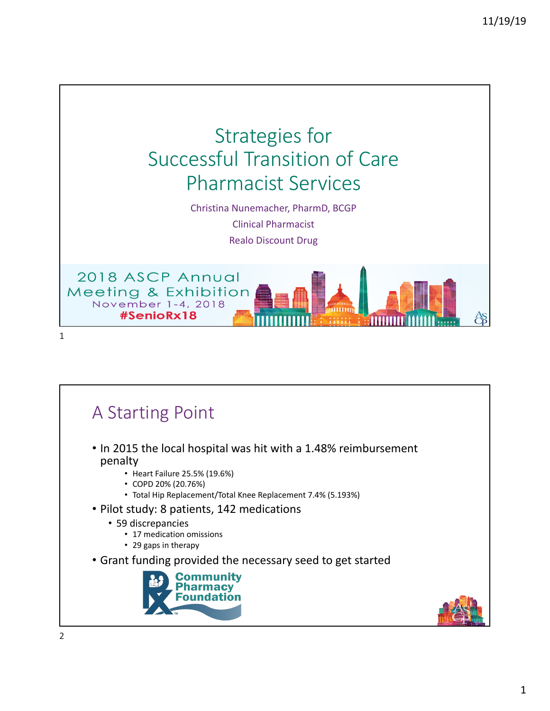

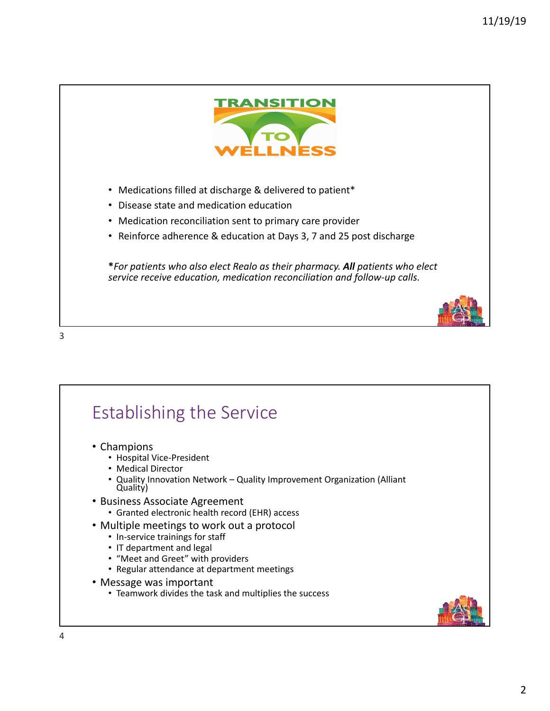

- Medications filled at discharge & delivered to patient\*
- Disease state and medication education
- Medication reconciliation sent to primary care provider
- Reinforce adherence & education at Days 3, 7 and 25 post discharge

**\****For patients who also elect Realo as their pharmacy. All patients who elect service receive education, medication reconciliation and follow-up calls.* 



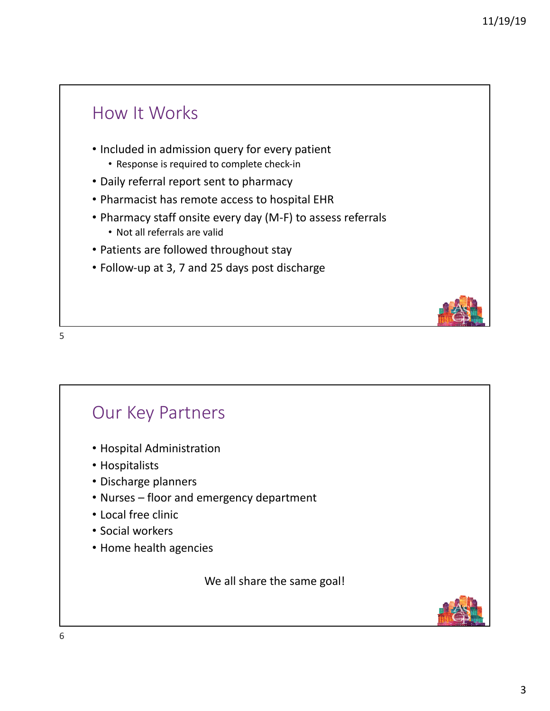## How It Works

- Included in admission query for every patient
	- Response is required to complete check-in
- Daily referral report sent to pharmacy
- Pharmacist has remote access to hospital EHR
- Pharmacy staff onsite every day (M-F) to assess referrals
	- Not all referrals are valid
- Patients are followed throughout stay
- Follow-up at 3, 7 and 25 days post discharge



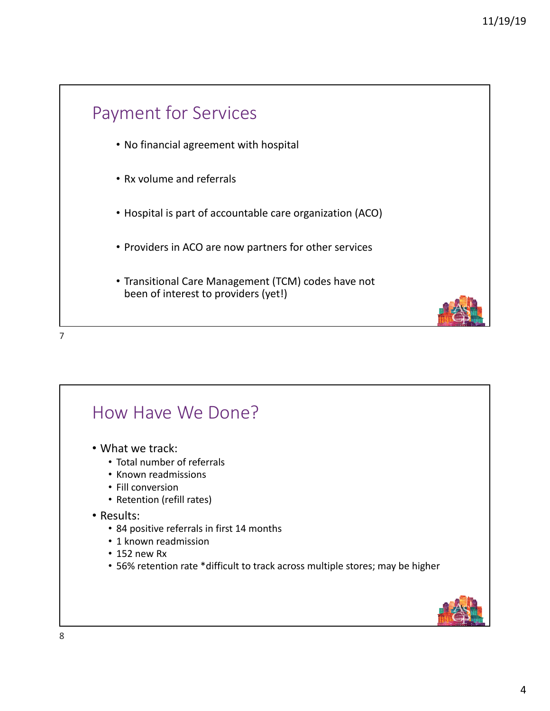

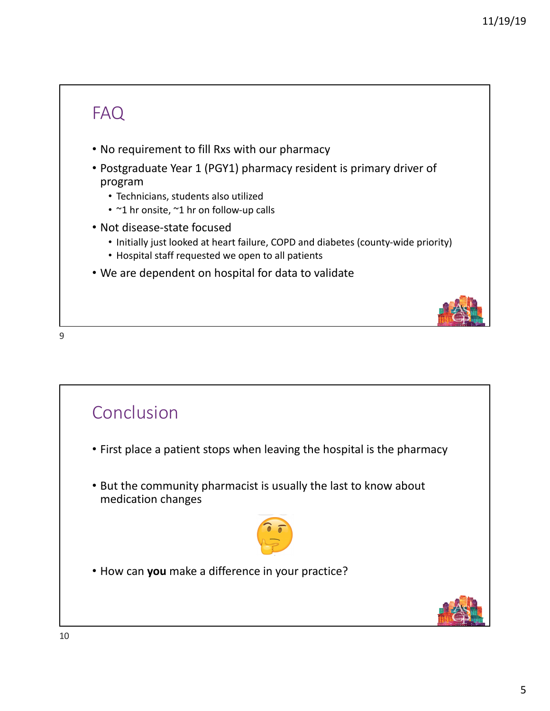## FAQ

- No requirement to fill Rxs with our pharmacy
- Postgraduate Year 1 (PGY1) pharmacy resident is primary driver of program
	- Technicians, students also utilized
	- ~1 hr onsite, ~1 hr on follow-up calls
- Not disease-state focused
	- Initially just looked at heart failure, COPD and diabetes (county-wide priority)
	- Hospital staff requested we open to all patients
- We are dependent on hospital for data to validate

9